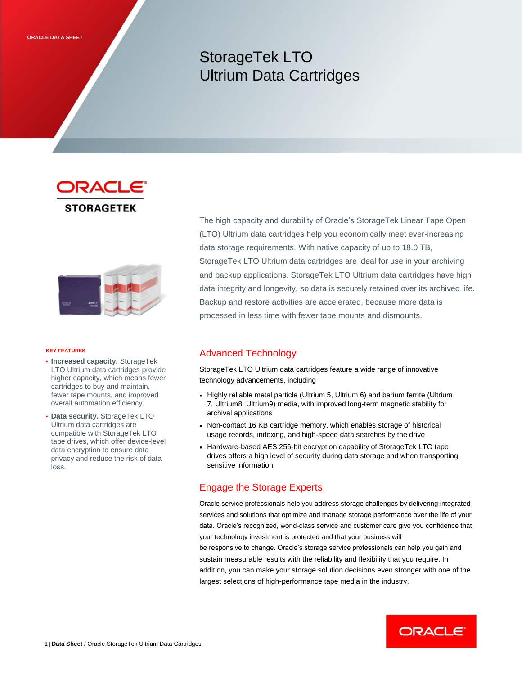# StorageTek LTO Ultrium Data Cartridges

ORACLE **STORAGETEK** 



#### **KEY FEATURES**

- **Increased capacity.** StorageTek LTO Ultrium data cartridges provide higher capacity, which means fewer cartridges to buy and maintain, fewer tape mounts, and improved overall automation efficiency.
- **Data security.** StorageTek LTO Ultrium data cartridges are compatible with StorageTek LTO tape drives, which offer device-level data encryption to ensure data privacy and reduce the risk of data loss.

The high capacity and durability of Oracle's StorageTek Linear Tape Open (LTO) Ultrium data cartridges help you economically meet ever-increasing data storage requirements. With native capacity of up to 18.0 TB, StorageTek LTO Ultrium data cartridges are ideal for use in your archiving and backup applications. StorageTek LTO Ultrium data cartridges have high data integrity and longevity, so data is securely retained over its archived life. Backup and restore activities are accelerated, because more data is processed in less time with fewer tape mounts and dismounts.

## Advanced Technology

StorageTek LTO Ultrium data cartridges feature a wide range of innovative technology advancements, including

- Highly reliable metal particle (Ultrium 5, Ultrium 6) and barium ferrite (Ultrium 7, Ultrium8, Ultrium9) media, with improved long-term magnetic stability for archival applications
- Non-contact 16 KB cartridge memory, which enables storage of historical usage records, indexing, and high-speed data searches by the drive
- Hardware-based AES 256-bit encryption capability of StorageTek LTO tape drives offers a high level of security during data storage and when transporting sensitive information

## Engage the Storage Experts

Oracle service professionals help you address storage challenges by delivering integrated services and solutions that optimize and manage storage performance over the life of your data. Oracle's recognized, world-class service and customer care give you confidence that your technology investment is protected and that your business will

be responsive to change. Oracle's storage service professionals can help you gain and sustain measurable results with the reliability and flexibility that you require. In addition, you can make your storage solution decisions even stronger with one of the largest selections of high-performance tape media in the industry.

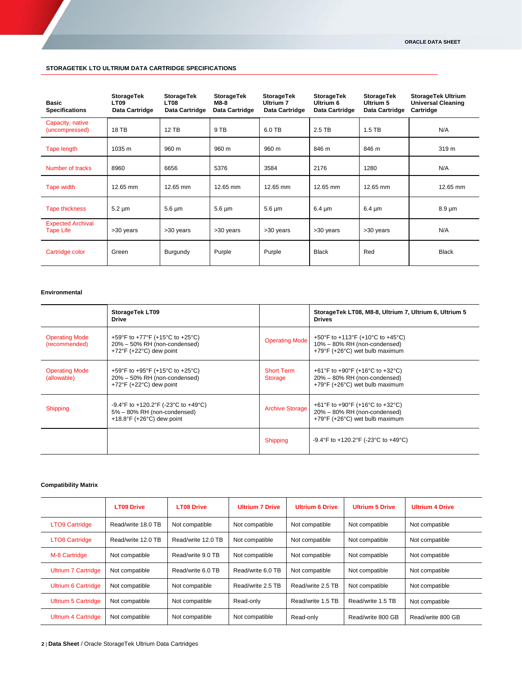### **STORAGETEK LTO ULTRIUM DATA CARTRIDGE SPECIFICATIONS**

| <b>Basic</b><br><b>Specifications</b>        | <b>StorageTek</b><br><b>LT09</b><br>Data Cartridge | <b>StorageTek</b><br><b>LT08</b><br>Data Cartridge | <b>StorageTek</b><br>M8-8<br>Data Cartridge | StorageTek<br><b>Ultrium 7</b><br>Data Cartridge | <b>StorageTek</b><br>Ultrium 6<br>Data Cartridge | <b>StorageTek</b><br>Ultrium 5<br>Data Cartridge | <b>StorageTek Ultrium</b><br><b>Universal Cleaning</b><br>Cartridge |
|----------------------------------------------|----------------------------------------------------|----------------------------------------------------|---------------------------------------------|--------------------------------------------------|--------------------------------------------------|--------------------------------------------------|---------------------------------------------------------------------|
| Capacity, native<br>(uncompressed)           | <b>18 TB</b>                                       | $12$ TB                                            | 9 TB                                        | 6.0 TB                                           | 2.5 TB                                           | $1.5$ TB                                         | N/A                                                                 |
| Tape length                                  | 1035 m                                             | 960 m                                              | 960 m                                       | 960 m                                            | 846 m                                            | 846 m                                            | 319 m                                                               |
| Number of tracks                             | 8960                                               | 6656                                               | 5376                                        | 3584                                             | 2176                                             | 1280                                             | N/A                                                                 |
| Tape width                                   | 12.65 mm                                           | 12.65 mm                                           | 12.65 mm                                    | 12.65 mm                                         | 12.65 mm                                         | 12.65 mm                                         | 12.65 mm                                                            |
| <b>Tape thickness</b>                        | $5.2 \mu m$                                        | $5.6 \,\mathrm{\upmu m}$                           | $5.6 \mu m$                                 | $5.6 \mu m$                                      | $6.4 \mu m$                                      | $6.4 \mu m$                                      | $8.9 \mu m$                                                         |
| <b>Expected Archival</b><br><b>Tape Life</b> | >30 years                                          | >30 years                                          | >30 years                                   | >30 years                                        | >30 years                                        | >30 years                                        | N/A                                                                 |
| Cartridge color                              | Green                                              | Burgundy                                           | Purple                                      | Purple                                           | <b>Black</b>                                     | Red                                              | <b>Black</b>                                                        |

#### **Environmental**

|                                        | StorageTek LT09<br><b>Drive</b>                                                                                 |                                     | StorageTek LT08, M8-8, Ultrium 7, Ultrium 6, Ultrium 5<br><b>Drives</b>                            |
|----------------------------------------|-----------------------------------------------------------------------------------------------------------------|-------------------------------------|----------------------------------------------------------------------------------------------------|
| <b>Operating Mode</b><br>(recommended) | +59°F to +77°F (+15°C to +25°C)<br>20% - 50% RH (non-condensed)<br>$+72^{\circ}$ F (+22 $^{\circ}$ C) dew point | <b>Operating Mode</b>               | +50°F to +113°F (+10°C to +45°C)<br>10% - 80% RH (non-condensed)<br>+79°F (+26°C) wet bulb maximum |
| <b>Operating Mode</b><br>(allowable)   | +59°F to +95°F (+15°C to +25°C)<br>20% - 50% RH (non-condensed)<br>+72 $\degree$ F (+22 $\degree$ C) dew point  | <b>Short Term</b><br><b>Storage</b> | +61°F to +90°F (+16°C to +32°C)<br>20% - 80% RH (non-condensed)<br>+79°F (+26°C) wet bulb maximum  |
| Shipping                               | $-9.4$ °F to $+120.2$ °F ( $-23$ °C to $+49$ °C)<br>5% - 80% RH (non-condensed)<br>$+18.8$ °F (+26°C) dew point | <b>Archive Storage</b>              | +61°F to +90°F (+16°C to +32°C)<br>20% - 80% RH (non-condensed)<br>+79°F (+26°C) wet bulb maximum  |
|                                        |                                                                                                                 | Shipping                            | $-9.4^{\circ}$ F to $+120.2^{\circ}$ F (-23 $^{\circ}$ C to $+49^{\circ}$ C)                       |

## **Compatibility Matrix**

|                            | <b>LT09 Drive</b>  | <b>LT08 Drive</b>  | <b>Ultrium 7 Drive</b> | <b>Ultrium 6 Drive</b> | <b>Ultrium 5 Drive</b> | <b>Ultrium 4 Drive</b> |
|----------------------------|--------------------|--------------------|------------------------|------------------------|------------------------|------------------------|
| <b>LTO9 Cartridge</b>      | Read/write 18.0 TB | Not compatible     | Not compatible         | Not compatible         | Not compatible         | Not compatible         |
| <b>LTO8 Cartridge</b>      | Read/write 12.0 TB | Read/write 12.0 TB | Not compatible         | Not compatible         | Not compatible         | Not compatible         |
| M-8 Cartridge              | Not compatible     | Read/write 9.0 TB  | Not compatible         | Not compatible         | Not compatible         | Not compatible         |
| <b>Ultrium 7 Cartridge</b> | Not compatible     | Read/write 6.0 TB  | Read/write 6.0 TB      | Not compatible         | Not compatible         | Not compatible         |
| <b>Ultrium 6 Cartridge</b> | Not compatible     | Not compatible     | Read/write 2.5 TB      | Read/write 2.5 TB      | Not compatible         | Not compatible         |
| <b>Ultrium 5 Cartridge</b> | Not compatible     | Not compatible     | Read-only              | Read/write 1.5 TB      | Read/write 1.5 TB      | Not compatible         |
| <b>Ultrium 4 Cartridge</b> | Not compatible     | Not compatible     | Not compatible         | Read-only              | Read/write 800 GB      | Read/write 800 GB      |